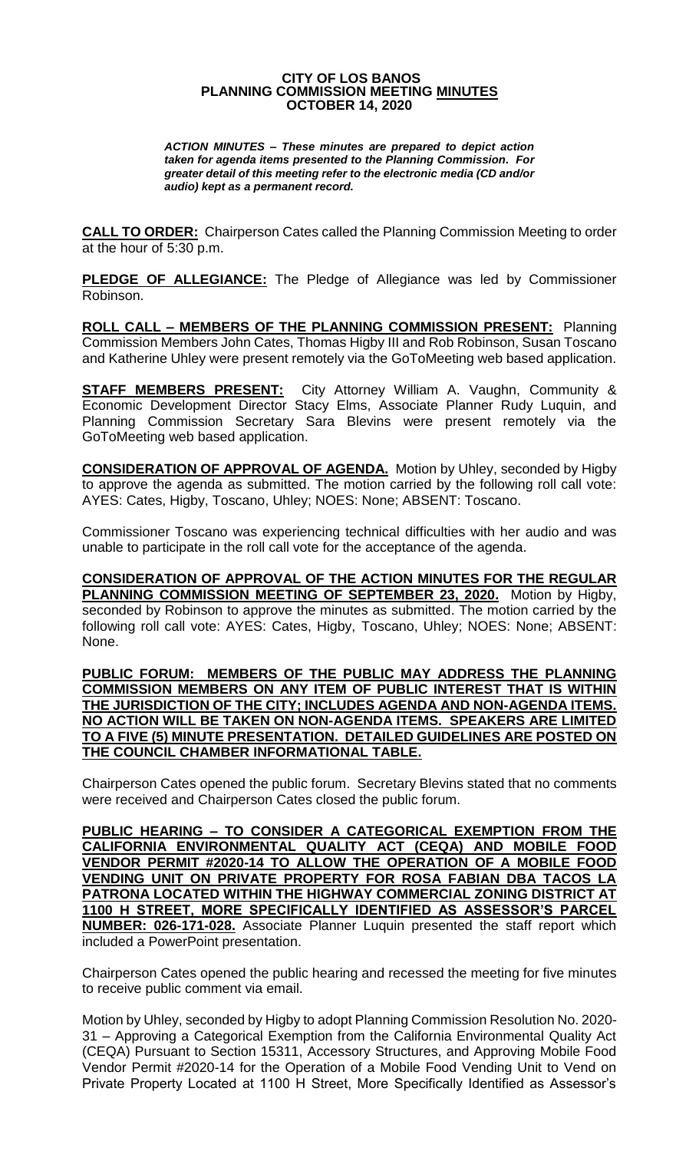## **CITY OF LOS BANOS PLANNING COMMISSION MEETING MINUTES OCTOBER 14, 2020**

*ACTION MINUTES – These minutes are prepared to depict action taken for agenda items presented to the Planning Commission. For greater detail of this meeting refer to the electronic media (CD and/or audio) kept as a permanent record.*

**CALL TO ORDER:** Chairperson Cates called the Planning Commission Meeting to order at the hour of 5:30 p.m.

**PLEDGE OF ALLEGIANCE:** The Pledge of Allegiance was led by Commissioner Robinson.

**ROLL CALL – MEMBERS OF THE PLANNING COMMISSION PRESENT:** Planning Commission Members John Cates, Thomas Higby III and Rob Robinson, Susan Toscano and Katherine Uhley were present remotely via the GoToMeeting web based application.

**STAFF MEMBERS PRESENT:** City Attorney William A. Vaughn, Community & Economic Development Director Stacy Elms, Associate Planner Rudy Luquin, and Planning Commission Secretary Sara Blevins were present remotely via the GoToMeeting web based application.

**CONSIDERATION OF APPROVAL OF AGENDA.** Motion by Uhley, seconded by Higby to approve the agenda as submitted. The motion carried by the following roll call vote: AYES: Cates, Higby, Toscano, Uhley; NOES: None; ABSENT: Toscano.

Commissioner Toscano was experiencing technical difficulties with her audio and was unable to participate in the roll call vote for the acceptance of the agenda.

**CONSIDERATION OF APPROVAL OF THE ACTION MINUTES FOR THE REGULAR PLANNING COMMISSION MEETING OF SEPTEMBER 23, 2020.** Motion by Higby, seconded by Robinson to approve the minutes as submitted. The motion carried by the following roll call vote: AYES: Cates, Higby, Toscano, Uhley; NOES: None; ABSENT: None.

**PUBLIC FORUM: MEMBERS OF THE PUBLIC MAY ADDRESS THE PLANNING COMMISSION MEMBERS ON ANY ITEM OF PUBLIC INTEREST THAT IS WITHIN THE JURISDICTION OF THE CITY; INCLUDES AGENDA AND NON-AGENDA ITEMS. NO ACTION WILL BE TAKEN ON NON-AGENDA ITEMS. SPEAKERS ARE LIMITED TO A FIVE (5) MINUTE PRESENTATION. DETAILED GUIDELINES ARE POSTED ON THE COUNCIL CHAMBER INFORMATIONAL TABLE.**

Chairperson Cates opened the public forum. Secretary Blevins stated that no comments were received and Chairperson Cates closed the public forum.

**PUBLIC HEARING – TO CONSIDER A CATEGORICAL EXEMPTION FROM THE CALIFORNIA ENVIRONMENTAL QUALITY ACT (CEQA) AND MOBILE FOOD VENDOR PERMIT #2020-14 TO ALLOW THE OPERATION OF A MOBILE FOOD VENDING UNIT ON PRIVATE PROPERTY FOR ROSA FABIAN DBA TACOS LA PATRONA LOCATED WITHIN THE HIGHWAY COMMERCIAL ZONING DISTRICT AT 1100 H STREET, MORE SPECIFICALLY IDENTIFIED AS ASSESSOR'S PARCEL NUMBER: 026-171-028.** Associate Planner Luquin presented the staff report which included a PowerPoint presentation.

Chairperson Cates opened the public hearing and recessed the meeting for five minutes to receive public comment via email.

Motion by Uhley, seconded by Higby to adopt Planning Commission Resolution No. 2020- 31 – Approving a Categorical Exemption from the California Environmental Quality Act (CEQA) Pursuant to Section 15311, Accessory Structures, and Approving Mobile Food Vendor Permit #2020-14 for the Operation of a Mobile Food Vending Unit to Vend on Private Property Located at 1100 H Street, More Specifically Identified as Assessor's